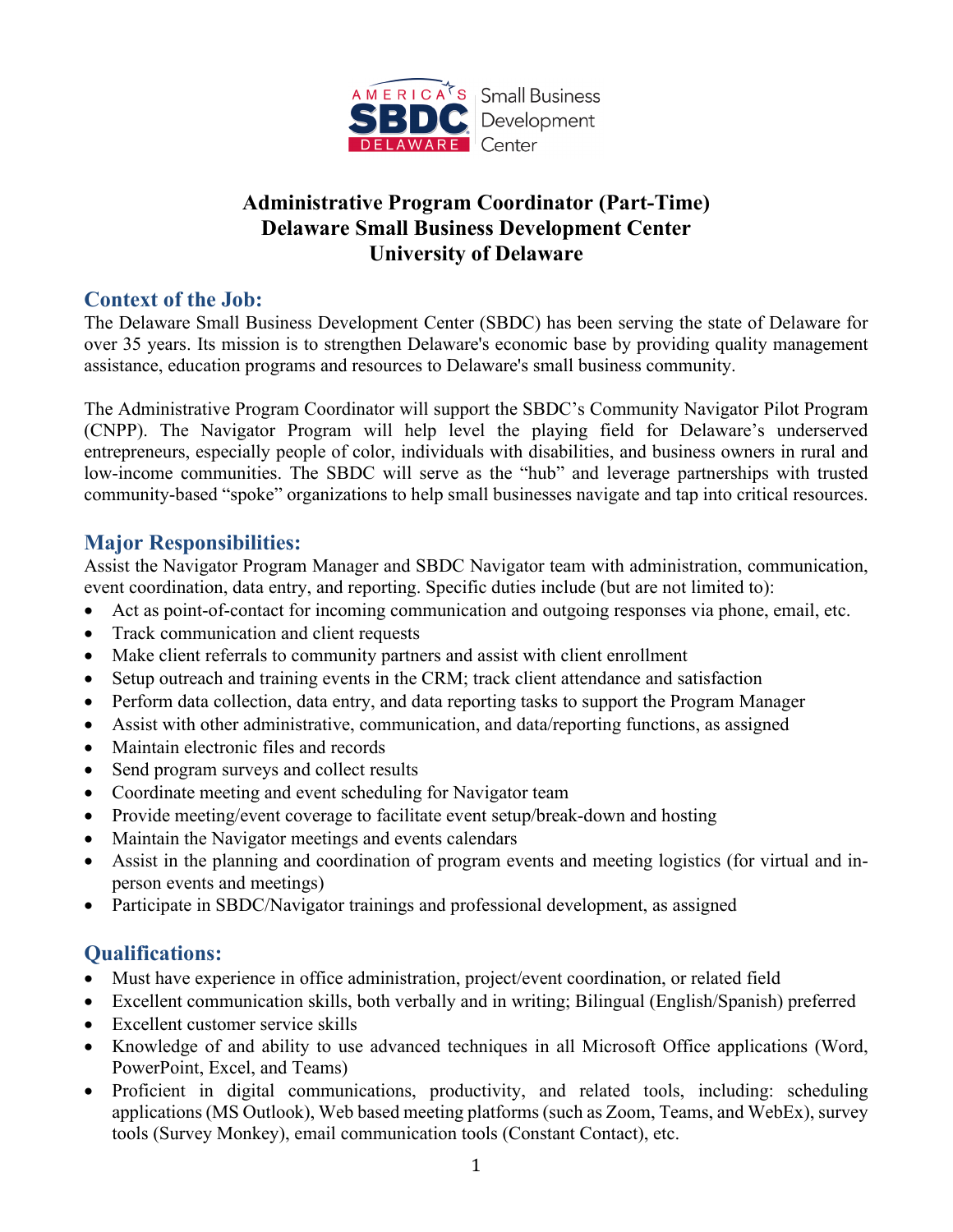

# **Administrative Program Coordinator (Part-Time) Delaware Small Business Development Center University of Delaware**

#### **Context of the Job:**

The Delaware Small Business Development Center (SBDC) has been serving the state of Delaware for over 35 years. Its mission is to strengthen Delaware's economic base by providing quality management assistance, education programs and resources to Delaware's small business community.

The Administrative Program Coordinator will support the SBDC's Community Navigator Pilot Program (CNPP). The Navigator Program will help level the playing field for Delaware's underserved entrepreneurs, especially people of color, individuals with disabilities, and business owners in rural and low-income communities. The SBDC will serve as the "hub" and leverage partnerships with trusted community-based "spoke" organizations to help small businesses navigate and tap into critical resources.

#### **Major Responsibilities:**

Assist the Navigator Program Manager and SBDC Navigator team with administration, communication, event coordination, data entry, and reporting. Specific duties include (but are not limited to):

- Act as point-of-contact for incoming communication and outgoing responses via phone, email, etc.
- Track communication and client requests
- Make client referrals to community partners and assist with client enrollment
- Setup outreach and training events in the CRM; track client attendance and satisfaction
- Perform data collection, data entry, and data reporting tasks to support the Program Manager
- Assist with other administrative, communication, and data/reporting functions, as assigned
- Maintain electronic files and records
- Send program surveys and collect results
- Coordinate meeting and event scheduling for Navigator team
- Provide meeting/event coverage to facilitate event setup/break-down and hosting
- Maintain the Navigator meetings and events calendars
- Assist in the planning and coordination of program events and meeting logistics (for virtual and inperson events and meetings)
- Participate in SBDC/Navigator trainings and professional development, as assigned

# **Qualifications:**

- Must have experience in office administration, project/event coordination, or related field
- Excellent communication skills, both verbally and in writing; Bilingual (English/Spanish) preferred
- Excellent customer service skills
- Knowledge of and ability to use advanced techniques in all Microsoft Office applications (Word, PowerPoint, Excel, and Teams)
- Proficient in digital communications, productivity, and related tools, including: scheduling applications (MS Outlook), Web based meeting platforms (such as Zoom, Teams, and WebEx), survey tools (Survey Monkey), email communication tools (Constant Contact), etc.